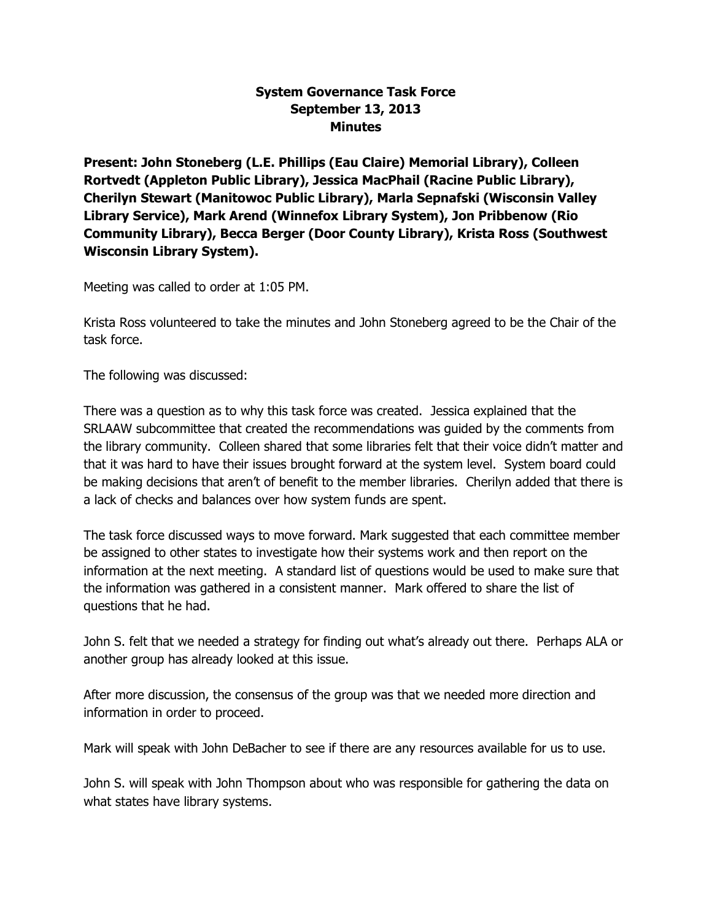## **System Governance Task Force September 13, 2013 Minutes**

**Present: John Stoneberg (L.E. Phillips (Eau Claire) Memorial Library), Colleen Rortvedt (Appleton Public Library), Jessica MacPhail (Racine Public Library), Cherilyn Stewart (Manitowoc Public Library), Marla Sepnafski (Wisconsin Valley Library Service), Mark Arend (Winnefox Library System), Jon Pribbenow (Rio Community Library), Becca Berger (Door County Library), Krista Ross (Southwest Wisconsin Library System).**

Meeting was called to order at 1:05 PM.

Krista Ross volunteered to take the minutes and John Stoneberg agreed to be the Chair of the task force.

The following was discussed:

There was a question as to why this task force was created. Jessica explained that the SRLAAW subcommittee that created the recommendations was guided by the comments from the library community. Colleen shared that some libraries felt that their voice didn't matter and that it was hard to have their issues brought forward at the system level. System board could be making decisions that aren't of benefit to the member libraries. Cherilyn added that there is a lack of checks and balances over how system funds are spent.

The task force discussed ways to move forward. Mark suggested that each committee member be assigned to other states to investigate how their systems work and then report on the information at the next meeting. A standard list of questions would be used to make sure that the information was gathered in a consistent manner. Mark offered to share the list of questions that he had.

John S. felt that we needed a strategy for finding out what's already out there. Perhaps ALA or another group has already looked at this issue.

After more discussion, the consensus of the group was that we needed more direction and information in order to proceed.

Mark will speak with John DeBacher to see if there are any resources available for us to use.

John S. will speak with John Thompson about who was responsible for gathering the data on what states have library systems.